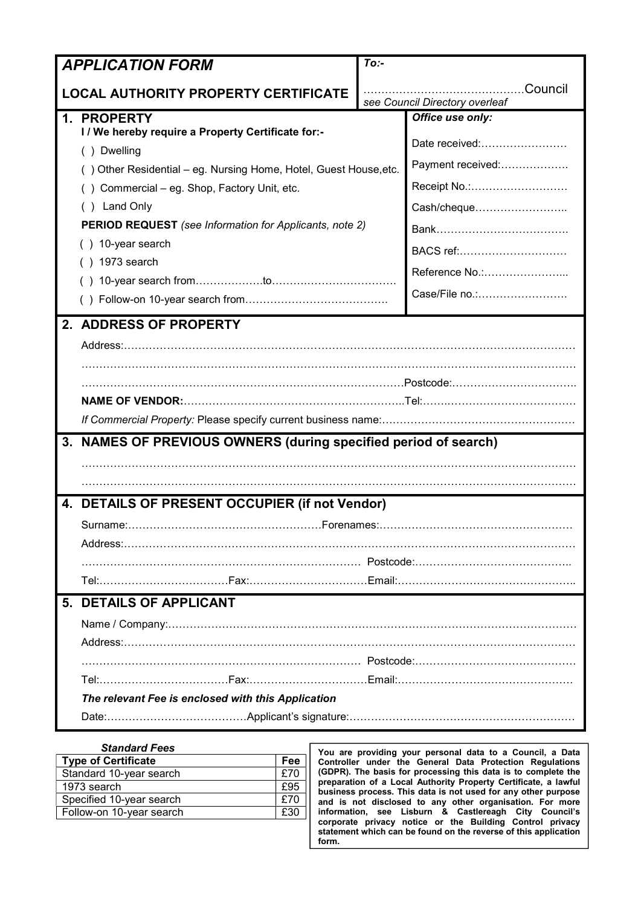| <b>APPLICATION FORM</b>                                                          | $To:$ -                                   |                   |  |
|----------------------------------------------------------------------------------|-------------------------------------------|-------------------|--|
| <b>LOCAL AUTHORITY PROPERTY CERTIFICATE</b>                                      | Council<br>see Council Directory overleaf |                   |  |
| 1. PROPERTY                                                                      |                                           | Office use only:  |  |
| I / We hereby require a Property Certificate for:-                               |                                           | Date received:    |  |
| () Dwelling<br>() Other Residential - eg. Nursing Home, Hotel, Guest House, etc. |                                           | Payment received: |  |
| () Commercial - eg. Shop, Factory Unit, etc.                                     |                                           | Receipt No.:      |  |
| () Land Only                                                                     |                                           | Cash/cheque       |  |
| <b>PERIOD REQUEST</b> (see Information for Applicants, note 2)                   |                                           |                   |  |
| () 10-year search                                                                |                                           | BACS ref:         |  |
| $( ) 1973$ search                                                                |                                           | Reference No.:    |  |
|                                                                                  |                                           |                   |  |
|                                                                                  |                                           | Case/File no.:    |  |
| 2. ADDRESS OF PROPERTY                                                           |                                           |                   |  |
|                                                                                  |                                           |                   |  |
|                                                                                  |                                           |                   |  |
|                                                                                  |                                           |                   |  |
|                                                                                  |                                           |                   |  |
|                                                                                  |                                           |                   |  |
| 3. NAMES OF PREVIOUS OWNERS (during specified period of search)                  |                                           |                   |  |
|                                                                                  |                                           |                   |  |
|                                                                                  |                                           |                   |  |
| 4. DETAILS OF PRESENT OCCUPIER (if not Vendor)                                   |                                           |                   |  |
|                                                                                  |                                           |                   |  |
|                                                                                  |                                           |                   |  |
|                                                                                  |                                           |                   |  |
| 5. DETAILS OF APPLICANT                                                          |                                           |                   |  |
|                                                                                  |                                           |                   |  |
|                                                                                  |                                           |                   |  |
|                                                                                  |                                           |                   |  |
|                                                                                  |                                           |                   |  |
| The relevant Fee is enclosed with this Application                               |                                           |                   |  |
|                                                                                  |                                           |                   |  |
|                                                                                  |                                           |                   |  |

| <b>Standard Fees</b>       |     |
|----------------------------|-----|
| <b>Type of Certificate</b> | Fee |
| Standard 10-year search    | £70 |
| 1973 search                | £95 |
| Specified 10-year search   | £70 |
| Follow-on 10-year search   | £30 |
|                            |     |

You are providing your personal data to a Council, a Data Controller under the General Data Protection Regulations (GDPR). The basis for processing this data is to complete the preparation of a Local Authority Property Certificate, a lawful business process. This data is not used for any other purpose and is not disclosed to any other organisation. For more information, see Lisburn & Castlereagh City Council's corporate privacy notice or the Building Control privacy statement which can be found on the reverse of this application form.